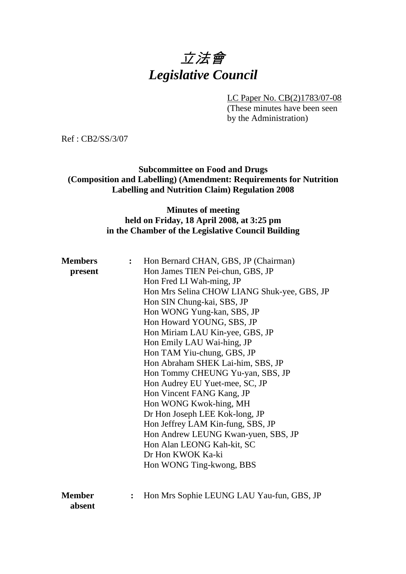# 立法會 *Legislative Council*

LC Paper No. CB(2)1783/07-08

(These minutes have been seen by the Administration)

Ref : CB2/SS/3/07

**Subcommittee on Food and Drugs (Composition and Labelling) (Amendment: Requirements for Nutrition Labelling and Nutrition Claim) Regulation 2008** 

### **Minutes of meeting held on Friday, 18 April 2008, at 3:25 pm in the Chamber of the Legislative Council Building**

| <b>Members</b><br>present | $\ddot{\cdot}$ | Hon Bernard CHAN, GBS, JP (Chairman)<br>Hon James TIEN Pei-chun, GBS, JP |
|---------------------------|----------------|--------------------------------------------------------------------------|
|                           |                | Hon Fred LI Wah-ming, JP                                                 |
|                           |                | Hon Mrs Selina CHOW LIANG Shuk-yee, GBS, JP                              |
|                           |                | Hon SIN Chung-kai, SBS, JP                                               |
|                           |                | Hon WONG Yung-kan, SBS, JP                                               |
|                           |                | Hon Howard YOUNG, SBS, JP                                                |
|                           |                | Hon Miriam LAU Kin-yee, GBS, JP                                          |
|                           |                | Hon Emily LAU Wai-hing, JP                                               |
|                           |                | Hon TAM Yiu-chung, GBS, JP                                               |
|                           |                | Hon Abraham SHEK Lai-him, SBS, JP                                        |
|                           |                | Hon Tommy CHEUNG Yu-yan, SBS, JP                                         |
|                           |                | Hon Audrey EU Yuet-mee, SC, JP                                           |
|                           |                | Hon Vincent FANG Kang, JP                                                |
|                           |                | Hon WONG Kwok-hing, MH                                                   |
|                           |                | Dr Hon Joseph LEE Kok-long, JP                                           |
|                           |                | Hon Jeffrey LAM Kin-fung, SBS, JP                                        |
|                           |                | Hon Andrew LEUNG Kwan-yuen, SBS, JP                                      |
|                           |                | Hon Alan LEONG Kah-kit, SC                                               |
|                           |                | Dr Hon KWOK Ka-ki                                                        |
|                           |                | Hon WONG Ting-kwong, BBS                                                 |
|                           |                |                                                                          |
| <b>Member</b><br>absent   |                | Hon Mrs Sophie LEUNG LAU Yau-fun, GBS, JP                                |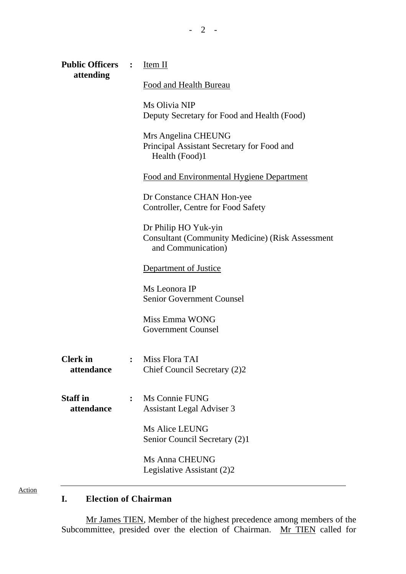| Public Officers : Item II     |                                                                                                       |
|-------------------------------|-------------------------------------------------------------------------------------------------------|
| attending                     | <b>Food and Health Bureau</b>                                                                         |
|                               | Ms Olivia NIP<br>Deputy Secretary for Food and Health (Food)                                          |
|                               | Mrs Angelina CHEUNG<br>Principal Assistant Secretary for Food and<br>Health (Food)1                   |
|                               | <b>Food and Environmental Hygiene Department</b>                                                      |
|                               | Dr Constance CHAN Hon-yee<br>Controller, Centre for Food Safety                                       |
|                               | Dr Philip HO Yuk-yin<br><b>Consultant (Community Medicine) (Risk Assessment</b><br>and Communication) |
|                               | Department of Justice                                                                                 |
|                               | Ms Leonora IP<br><b>Senior Government Counsel</b>                                                     |
|                               | Miss Emma WONG<br><b>Government Counsel</b>                                                           |
| <b>Clerk</b> in<br>attendance | Miss Flora TAI<br>Chief Council Secretary (2)2                                                        |
| <b>Staff</b> in<br>attendance | Ms Connie FUNG<br>Assistant Legal Adviser 3                                                           |
|                               | <b>Ms Alice LEUNG</b><br>Senior Council Secretary (2)1                                                |
|                               | <b>Ms Anna CHEUNG</b><br>Legislative Assistant (2)2                                                   |

- 2 -

Action

# **I. Election of Chairman**

Mr James TIEN, Member of the highest precedence among members of the Subcommittee, presided over the election of Chairman. Mr TIEN called for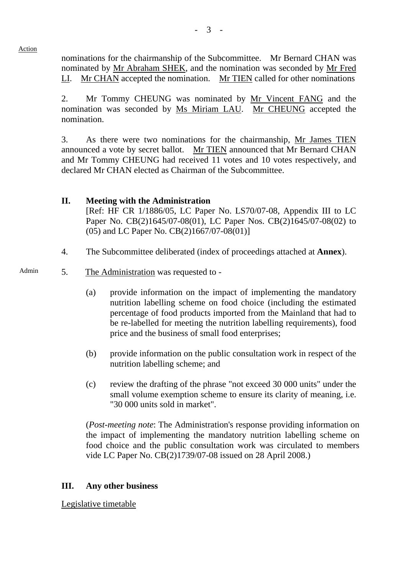nominations for the chairmanship of the Subcommittee. Mr Bernard CHAN was nominated by Mr Abraham SHEK, and the nomination was seconded by Mr Fred LI. Mr CHAN accepted the nomination. Mr TIEN called for other nominations

2. Mr Tommy CHEUNG was nominated by Mr Vincent FANG and the nomination was seconded by Ms Miriam LAU. Mr CHEUNG accepted the nomination.

3. As there were two nominations for the chairmanship, Mr James TIEN announced a vote by secret ballot. Mr TIEN announced that Mr Bernard CHAN and Mr Tommy CHEUNG had received 11 votes and 10 votes respectively, and declared Mr CHAN elected as Chairman of the Subcommittee.

# **II. Meeting with the Administration**  [Ref: HF CR 1/1886/05, LC Paper No. LS70/07-08, Appendix III to LC Paper No. CB(2)1645/07-08(01), LC Paper Nos. CB(2)1645/07-08(02) to (05) and LC Paper No. CB(2)1667/07-08(01)]

4. The Subcommittee deliberated (index of proceedings attached at **Annex**).

### Admin 5. The Administration was requested to -

Action

- (a) provide information on the impact of implementing the mandatory nutrition labelling scheme on food choice (including the estimated percentage of food products imported from the Mainland that had to be re-labelled for meeting the nutrition labelling requirements), food price and the business of small food enterprises;
- (b) provide information on the public consultation work in respect of the nutrition labelling scheme; and
- (c) review the drafting of the phrase "not exceed 30 000 units" under the small volume exemption scheme to ensure its clarity of meaning, i.e. "30 000 units sold in market".

(*Post-meeting note*: The Administration's response providing information on the impact of implementing the mandatory nutrition labelling scheme on food choice and the public consultation work was circulated to members vide LC Paper No. CB(2)1739/07-08 issued on 28 April 2008.)

### **III. Any other business**

Legislative timetable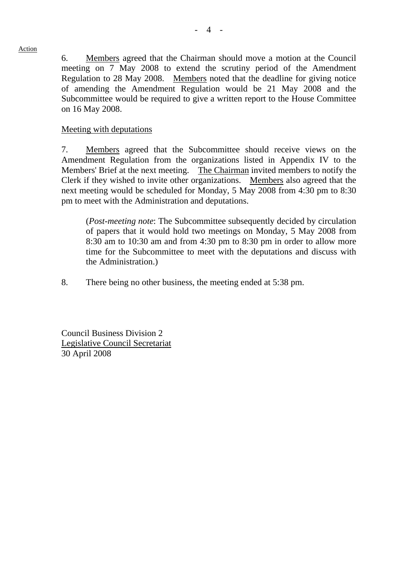#### Action

6. Members agreed that the Chairman should move a motion at the Council meeting on 7 May 2008 to extend the scrutiny period of the Amendment Regulation to 28 May 2008. Members noted that the deadline for giving notice of amending the Amendment Regulation would be 21 May 2008 and the Subcommittee would be required to give a written report to the House Committee on 16 May 2008.

# Meeting with deputations

7. Members agreed that the Subcommittee should receive views on the Amendment Regulation from the organizations listed in Appendix IV to the Members' Brief at the next meeting. The Chairman invited members to notify the Clerk if they wished to invite other organizations. Members also agreed that the next meeting would be scheduled for Monday, 5 May 2008 from 4:30 pm to 8:30 pm to meet with the Administration and deputations.

(*Post-meeting note*: The Subcommittee subsequently decided by circulation of papers that it would hold two meetings on Monday, 5 May 2008 from 8:30 am to 10:30 am and from 4:30 pm to 8:30 pm in order to allow more time for the Subcommittee to meet with the deputations and discuss with the Administration.)

8. There being no other business, the meeting ended at 5:38 pm.

Council Business Division 2 Legislative Council Secretariat 30 April 2008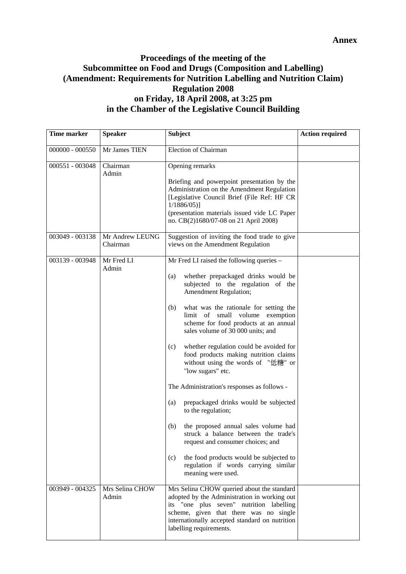# **Proceedings of the meeting of the Subcommittee on Food and Drugs (Composition and Labelling) (Amendment: Requirements for Nutrition Labelling and Nutrition Claim) Regulation 2008 on Friday, 18 April 2008, at 3:25 pm in the Chamber of the Legislative Council Building**

| <b>Time marker</b> | <b>Speaker</b>              | <b>Subject</b>                                                                                                                                                                                                                                                                                                                                                                                                                                                                                                                                                                                                                                                                                                                                                                                                                                  | <b>Action required</b> |
|--------------------|-----------------------------|-------------------------------------------------------------------------------------------------------------------------------------------------------------------------------------------------------------------------------------------------------------------------------------------------------------------------------------------------------------------------------------------------------------------------------------------------------------------------------------------------------------------------------------------------------------------------------------------------------------------------------------------------------------------------------------------------------------------------------------------------------------------------------------------------------------------------------------------------|------------------------|
| $000000 - 000550$  | Mr James TIEN               | Election of Chairman                                                                                                                                                                                                                                                                                                                                                                                                                                                                                                                                                                                                                                                                                                                                                                                                                            |                        |
| 000551 - 003048    | Chairman<br>Admin           | Opening remarks<br>Briefing and powerpoint presentation by the<br>Administration on the Amendment Regulation<br>[Legislative Council Brief (File Ref: HF CR<br>$1/1886/05$ ]<br>(presentation materials issued vide LC Paper<br>no. CB(2)1680/07-08 on 21 April 2008)                                                                                                                                                                                                                                                                                                                                                                                                                                                                                                                                                                           |                        |
| 003049 - 003138    | Mr Andrew LEUNG<br>Chairman | Suggestion of inviting the food trade to give<br>views on the Amendment Regulation                                                                                                                                                                                                                                                                                                                                                                                                                                                                                                                                                                                                                                                                                                                                                              |                        |
| 003139 - 003948    | Mr Fred LI<br>Admin         | Mr Fred LI raised the following queries -<br>whether prepackaged drinks would be<br>(a)<br>subjected to the regulation of the<br>Amendment Regulation;<br>what was the rationale for setting the<br>(b)<br>limit of small volume exemption<br>scheme for food products at an annual<br>sales volume of 30 000 units; and<br>whether regulation could be avoided for<br>(c)<br>food products making nutrition claims<br>without using the words of "低糖" or<br>"low sugars" etc.<br>The Administration's responses as follows -<br>(a)<br>prepackaged drinks would be subjected<br>to the regulation;<br>(b)<br>the proposed annual sales volume had<br>struck a balance between the trade's<br>request and consumer choices; and<br>the food products would be subjected to<br>(c)<br>regulation if words carrying similar<br>meaning were used. |                        |
| 003949 - 004325    | Mrs Selina CHOW<br>Admin    | Mrs Selina CHOW queried about the standard<br>adopted by the Administration in working out<br>its "one plus seven" nutrition labelling<br>scheme, given that there was no single<br>internationally accepted standard on nutrition<br>labelling requirements.                                                                                                                                                                                                                                                                                                                                                                                                                                                                                                                                                                                   |                        |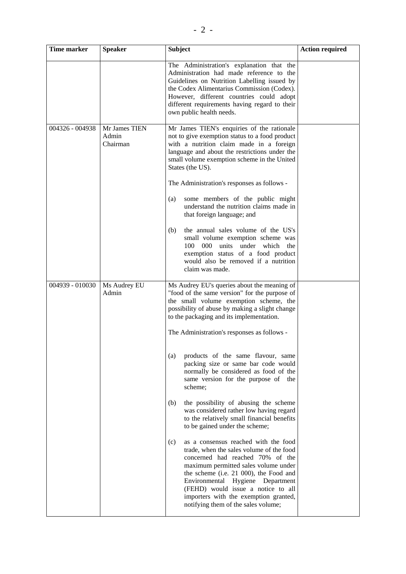| <b>Time marker</b> | <b>Speaker</b>                     | <b>Subject</b>                                                                                                                                                                                                                                                                                                                                                                                                                  | <b>Action required</b> |
|--------------------|------------------------------------|---------------------------------------------------------------------------------------------------------------------------------------------------------------------------------------------------------------------------------------------------------------------------------------------------------------------------------------------------------------------------------------------------------------------------------|------------------------|
|                    |                                    | The Administration's explanation that the<br>Administration had made reference to the<br>Guidelines on Nutrition Labelling issued by<br>the Codex Alimentarius Commission (Codex).<br>However, different countries could adopt<br>different requirements having regard to their<br>own public health needs.                                                                                                                     |                        |
| 004326 - 004938    | Mr James TIEN<br>Admin<br>Chairman | Mr James TIEN's enquiries of the rationale<br>not to give exemption status to a food product<br>with a nutrition claim made in a foreign<br>language and about the restrictions under the<br>small volume exemption scheme in the United<br>States (the US).<br>The Administration's responses as follows -<br>some members of the public might<br>(a)<br>understand the nutrition claims made in<br>that foreign language; and |                        |
|                    |                                    | the annual sales volume of the US's<br>(b)<br>small volume exemption scheme was<br>000<br>100<br>units<br>under which<br>the<br>exemption status of a food product<br>would also be removed if a nutrition<br>claim was made.                                                                                                                                                                                                   |                        |
| 004939 - 010030    | Ms Audrey EU<br>Admin              | Ms Audrey EU's queries about the meaning of<br>"food of the same version" for the purpose of<br>the small volume exemption scheme, the<br>possibility of abuse by making a slight change<br>to the packaging and its implementation.<br>The Administration's responses as follows -                                                                                                                                             |                        |
|                    |                                    | products of the same flavour, same<br>(a)<br>packing size or same bar code would<br>normally be considered as food of the<br>same version for the purpose of the<br>scheme;                                                                                                                                                                                                                                                     |                        |
|                    |                                    | the possibility of abusing the scheme<br>(b)<br>was considered rather low having regard<br>to the relatively small financial benefits<br>to be gained under the scheme;                                                                                                                                                                                                                                                         |                        |
|                    |                                    | as a consensus reached with the food<br>(c)<br>trade, when the sales volume of the food<br>concerned had reached 70% of the<br>maximum permitted sales volume under<br>the scheme (i.e. 21 000), the Food and<br>Environmental Hygiene Department<br>(FEHD) would issue a notice to all<br>importers with the exemption granted,<br>notifying them of the sales volume;                                                         |                        |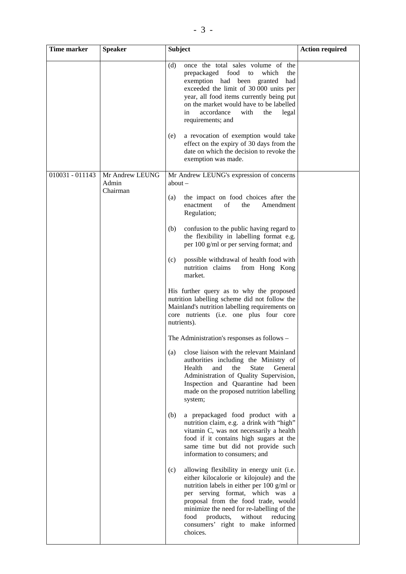| Time marker     | <b>Speaker</b>                       | <b>Subject</b>                                                                                                                                                                                                                                                                                                                                                         | <b>Action required</b> |
|-----------------|--------------------------------------|------------------------------------------------------------------------------------------------------------------------------------------------------------------------------------------------------------------------------------------------------------------------------------------------------------------------------------------------------------------------|------------------------|
|                 |                                      | once the total sales volume of the<br>(d)<br>prepackaged food to<br>which<br>the<br>exemption had been granted<br>had<br>exceeded the limit of 30 000 units per<br>year, all food items currently being put<br>on the market would have to be labelled<br>accordance<br>with<br>the<br>in<br>legal<br>requirements; and<br>a revocation of exemption would take<br>(e) |                        |
|                 |                                      | effect on the expiry of 30 days from the<br>date on which the decision to revoke the<br>exemption was made.                                                                                                                                                                                                                                                            |                        |
| 010031 - 011143 | Mr Andrew LEUNG<br>Admin<br>Chairman | Mr Andrew LEUNG's expression of concerns<br>about $-$<br>the impact on food choices after the<br>(a)                                                                                                                                                                                                                                                                   |                        |
|                 |                                      | of<br>the<br>Amendment<br>enactment<br>Regulation;                                                                                                                                                                                                                                                                                                                     |                        |
|                 |                                      | (b)<br>confusion to the public having regard to<br>the flexibility in labelling format e.g.<br>per $100$ g/ml or per serving format; and                                                                                                                                                                                                                               |                        |
|                 |                                      | possible withdrawal of health food with<br>(c)<br>nutrition claims<br>from Hong Kong<br>market.                                                                                                                                                                                                                                                                        |                        |
|                 |                                      | His further query as to why the proposed<br>nutrition labelling scheme did not follow the<br>Mainland's nutrition labelling requirements on<br>core nutrients (i.e. one plus four core<br>nutrients).                                                                                                                                                                  |                        |
|                 |                                      | The Administration's responses as follows –                                                                                                                                                                                                                                                                                                                            |                        |
|                 |                                      | close liaison with the relevant Mainland<br>(a)<br>authorities including the Ministry of<br>Health<br>and<br>the<br><b>State</b><br>General<br>Administration of Quality Supervision,<br>Inspection and Quarantine had been<br>made on the proposed nutrition labelling<br>system;                                                                                     |                        |
|                 |                                      | (b)<br>a prepackaged food product with a<br>nutrition claim, e.g. a drink with "high"<br>vitamin C, was not necessarily a health<br>food if it contains high sugars at the<br>same time but did not provide such<br>information to consumers; and                                                                                                                      |                        |
|                 |                                      | allowing flexibility in energy unit (i.e.<br>(c)<br>either kilocalorie or kilojoule) and the<br>nutrition labels in either per 100 g/ml or<br>per serving format, which was a<br>proposal from the food trade, would<br>minimize the need for re-labelling of the<br>products,<br>without<br>food<br>reducing<br>consumers' right to make informed<br>choices.         |                        |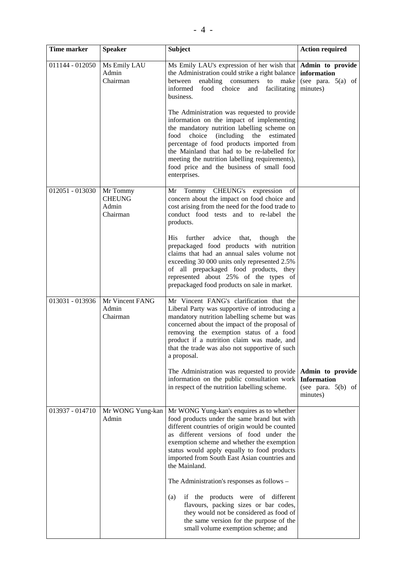| Time marker     | <b>Speaker</b>                                 | <b>Subject</b>                                                                                                                                                                                                                                                                                                                                                                                                                                                                                                                                                                                                            | <b>Action required</b>                                                     |
|-----------------|------------------------------------------------|---------------------------------------------------------------------------------------------------------------------------------------------------------------------------------------------------------------------------------------------------------------------------------------------------------------------------------------------------------------------------------------------------------------------------------------------------------------------------------------------------------------------------------------------------------------------------------------------------------------------------|----------------------------------------------------------------------------|
| 011144 - 012050 | Ms Emily LAU<br>Admin<br>Chairman              | Ms Emily LAU's expression of her wish that<br>the Administration could strike a right balance<br>enabling<br>consumers<br>make<br>between<br>to<br>informed<br>choice<br>food<br>facilitating<br>and<br>business.<br>The Administration was requested to provide<br>information on the impact of implementing<br>the mandatory nutrition labelling scheme on<br>food<br>choice (including)<br>the<br>estimated<br>percentage of food products imported from<br>the Mainland that had to be re-labelled for<br>meeting the nutrition labelling requirements),<br>food price and the business of small food<br>enterprises. | Admin to provide<br>information<br>(see para. $5(a)$ of<br>minutes)        |
| 012051 - 013030 | Mr Tommy<br><b>CHEUNG</b><br>Admin<br>Chairman | <b>CHEUNG's</b><br>Tommy<br>expression<br>of<br>Mr<br>concern about the impact on food choice and<br>cost arising from the need for the food trade to<br>conduct food tests and to re-label the<br>products.<br>further<br>advice<br>His<br>that,<br>though<br>the<br>prepackaged food products with nutrition<br>claims that had an annual sales volume not<br>exceeding 30 000 units only represented 2.5%<br>of all prepackaged food products, they<br>represented about 25% of the types of<br>prepackaged food products on sale in market.                                                                           |                                                                            |
| 013031 - 013936 | Mr Vincent FANG<br>Admin<br>Chairman           | Mr Vincent FANG's clarification that the<br>Liberal Party was supportive of introducing a<br>mandatory nutrition labelling scheme but was<br>concerned about the impact of the proposal of<br>removing the exemption status of a food<br>product if a nutrition claim was made, and<br>that the trade was also not supportive of such<br>a proposal.<br>The Administration was requested to provide<br>information on the public consultation work<br>in respect of the nutrition labelling scheme.                                                                                                                       | Admin to provide<br><b>Information</b><br>(see para. $5(b)$ of<br>minutes) |
| 013937 - 014710 | Mr WONG Yung-kan<br>Admin                      | Mr WONG Yung-kan's enquires as to whether<br>food products under the same brand but with<br>different countries of origin would be counted<br>as different versions of food under the<br>exemption scheme and whether the exemption<br>status would apply equally to food products<br>imported from South East Asian countries and<br>the Mainland.<br>The Administration's responses as follows –<br>if the products were of different<br>(a)<br>flavours, packing sizes or bar codes,<br>they would not be considered as food of<br>the same version for the purpose of the<br>small volume exemption scheme; and       |                                                                            |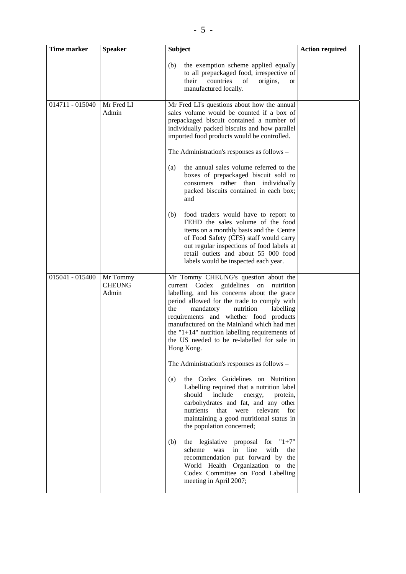| Time marker     | <b>Speaker</b>                     | <b>Subject</b>                                                                                                                                                                                                                                                                                                                                                                                                                                                                                                       | <b>Action required</b> |
|-----------------|------------------------------------|----------------------------------------------------------------------------------------------------------------------------------------------------------------------------------------------------------------------------------------------------------------------------------------------------------------------------------------------------------------------------------------------------------------------------------------------------------------------------------------------------------------------|------------------------|
|                 |                                    | the exemption scheme applied equally<br>(b)<br>to all prepackaged food, irrespective of<br>countries<br>their<br>origins,<br>of<br>or<br>manufactured locally.                                                                                                                                                                                                                                                                                                                                                       |                        |
| 014711 - 015040 | Mr Fred LI<br>Admin                | Mr Fred LI's questions about how the annual<br>sales volume would be counted if a box of<br>prepackaged biscuit contained a number of<br>individually packed biscuits and how parallel<br>imported food products would be controlled.<br>The Administration's responses as follows –<br>the annual sales volume referred to the<br>(a)<br>boxes of prepackaged biscuit sold to<br>consumers rather than individually<br>packed biscuits contained in each box;<br>and<br>food traders would have to report to<br>(b) |                        |
|                 |                                    | FEHD the sales volume of the food<br>items on a monthly basis and the Centre<br>of Food Safety (CFS) staff would carry<br>out regular inspections of food labels at<br>retail outlets and about 55 000 food<br>labels would be inspected each year.                                                                                                                                                                                                                                                                  |                        |
| 015041 - 015400 | Mr Tommy<br><b>CHEUNG</b><br>Admin | Mr Tommy CHEUNG's question about the<br>current Codex guidelines<br>on<br>nutrition<br>labelling, and his concerns about the grace<br>period allowed for the trade to comply with<br>the<br>nutrition<br>mandatory<br>labelling<br>requirements and whether food products<br>manufactured on the Mainland which had met<br>the "1+14" nutrition labelling requirements of<br>the US needed to be re-labelled for sale in<br>Hong Kong.                                                                               |                        |
|                 |                                    | The Administration's responses as follows –<br>the Codex Guidelines on Nutrition<br>(a)<br>Labelling required that a nutrition label<br>should include<br>energy,<br>protein,<br>carbohydrates and fat, and any other<br>nutrients that were relevant for<br>maintaining a good nutritional status in<br>the population concerned;                                                                                                                                                                                   |                        |
|                 |                                    | the legislative proposal for $"1+7"$<br>(b)<br>scheme<br>in<br>line<br>with<br>was<br>the<br>recommendation put forward by the<br>World Health Organization to<br>the<br>Codex Committee on Food Labelling<br>meeting in April 2007;                                                                                                                                                                                                                                                                                 |                        |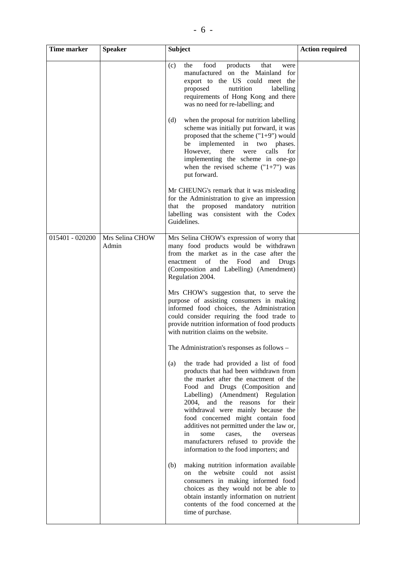| <sub>0</sub> |                |                                                                                                                                                                                                                                                                                                                |                        |
|--------------|----------------|----------------------------------------------------------------------------------------------------------------------------------------------------------------------------------------------------------------------------------------------------------------------------------------------------------------|------------------------|
| Time marker  | <b>Speaker</b> | <b>Subject</b>                                                                                                                                                                                                                                                                                                 | <b>Action required</b> |
|              |                | the<br>food<br>products<br>that<br>(c)<br>were<br>manufactured on the Mainland for<br>export to the US could meet the<br>proposed<br>nutrition<br>labelling<br>requirements of Hong Kong and there<br>was no need for re-labelling; and                                                                        |                        |
|              |                | when the proposal for nutrition labelling<br>(d)<br>scheme was initially put forward, it was<br>proposed that the scheme $("1+9")$ would<br>be implemented in two phases.<br>However, there<br>were calls<br>for<br>implementing the scheme in one-go<br>when the revised scheme $("1+7")$ was<br>put forward. |                        |
|              |                | Mr CHEUNG's remark that it was misleading<br>for the Administration to give an impression<br>that the proposed mandatory nutrition<br>labelling was consistent with the Codex                                                                                                                                  |                        |

|                 |                          | scheme was initially put forward, it was<br>proposed that the scheme $("1+9")$ would<br>implemented in two<br>be<br>phases.<br>However,<br>there<br>were<br>calls<br>for<br>implementing the scheme in one-go<br>when the revised scheme $("1+7")$ was<br>put forward.<br>Mr CHEUNG's remark that it was misleading<br>for the Administration to give an impression<br>that the proposed mandatory nutrition<br>labelling was consistent with the Codex<br>Guidelines.                                                                                                                                                                                                                                                                                                                                                                                                                                                                                                                                                                                                                                                                                                                                                                                                                                                                                                             |  |
|-----------------|--------------------------|------------------------------------------------------------------------------------------------------------------------------------------------------------------------------------------------------------------------------------------------------------------------------------------------------------------------------------------------------------------------------------------------------------------------------------------------------------------------------------------------------------------------------------------------------------------------------------------------------------------------------------------------------------------------------------------------------------------------------------------------------------------------------------------------------------------------------------------------------------------------------------------------------------------------------------------------------------------------------------------------------------------------------------------------------------------------------------------------------------------------------------------------------------------------------------------------------------------------------------------------------------------------------------------------------------------------------------------------------------------------------------|--|
| 015401 - 020200 | Mrs Selina CHOW<br>Admin | Mrs Selina CHOW's expression of worry that<br>many food products would be withdrawn<br>from the market as in the case after the<br>of<br>the<br>Food<br>and<br>enactment<br>Drugs<br>(Composition and Labelling) (Amendment)<br>Regulation 2004.<br>Mrs CHOW's suggestion that, to serve the<br>purpose of assisting consumers in making<br>informed food choices, the Administration<br>could consider requiring the food trade to<br>provide nutrition information of food products<br>with nutrition claims on the website.<br>The Administration's responses as follows –<br>the trade had provided a list of food<br>(a)<br>products that had been withdrawn from<br>the market after the enactment of the<br>Food and Drugs (Composition and<br>Labelling) (Amendment) Regulation<br>for<br>2004,<br>and the reasons<br>their<br>withdrawal were mainly because the<br>food concerned might contain food<br>additives not permitted under the law or,<br>in<br>the<br>overseas<br>some<br>cases,<br>manufacturers refused to provide the<br>information to the food importers; and<br>making nutrition information available<br>(b)<br>the<br>website<br>could<br>not<br>assist<br>on<br>consumers in making informed food<br>choices as they would not be able to<br>obtain instantly information on nutrient<br>contents of the food concerned at the<br>time of purchase. |  |